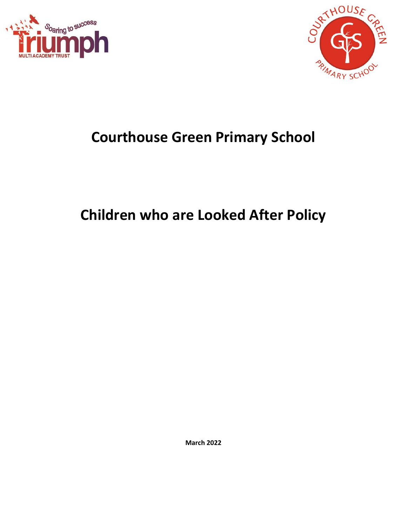



## **Courthouse Green Primary School**

# **Children who are Looked After Policy**

**March 2022**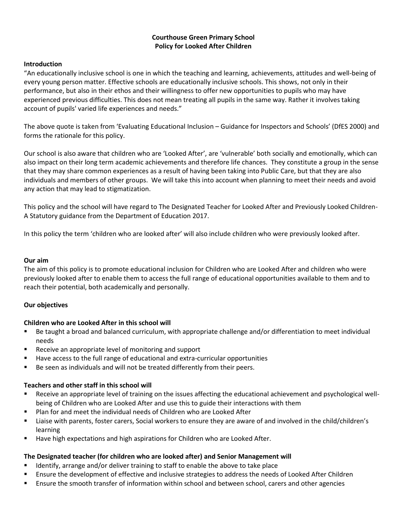#### **Courthouse Green Primary School Policy for Looked After Children**

#### **Introduction**

"An educationally inclusive school is one in which the teaching and learning, achievements, attitudes and well-being of every young person matter. Effective schools are educationally inclusive schools. This shows, not only in their performance, but also in their ethos and their willingness to offer new opportunities to pupils who may have experienced previous difficulties. This does not mean treating all pupils in the same way. Rather it involves taking account of pupils' varied life experiences and needs."

The above quote is taken from 'Evaluating Educational Inclusion – Guidance for Inspectors and Schools' (DfES 2000) and forms the rationale for this policy.

Our school is also aware that children who are 'Looked After', are 'vulnerable' both socially and emotionally, which can also impact on their long term academic achievements and therefore life chances. They constitute a group in the sense that they may share common experiences as a result of having been taking into Public Care, but that they are also individuals and members of other groups. We will take this into account when planning to meet their needs and avoid any action that may lead to stigmatization.

This policy and the school will have regard to The Designated Teacher for Looked After and Previously Looked Children-A Statutory guidance from the Department of Education 2017.

In this policy the term 'children who are looked after' will also include children who were previously looked after.

#### **Our aim**

The aim of this policy is to promote educational inclusion for Children who are Looked After and children who were previously looked after to enable them to access the full range of educational opportunities available to them and to reach their potential, both academically and personally.

#### **Our objectives**

#### **Children who are Looked After in this school will**

- Be taught a broad and balanced curriculum, with appropriate challenge and/or differentiation to meet individual needs
- Receive an appropriate level of monitoring and support
- Have access to the full range of educational and extra-curricular opportunities
- Be seen as individuals and will not be treated differently from their peers.

#### **Teachers and other staff in this school will**

- Receive an appropriate level of training on the issues affecting the educational achievement and psychological wellbeing of Children who are Looked After and use this to guide their interactions with them
- Plan for and meet the individual needs of Children who are Looked After
- Liaise with parents, foster carers, Social workers to ensure they are aware of and involved in the child/children's learning
- Have high expectations and high aspirations for Children who are Looked After.

#### **The Designated teacher (for children who are looked after) and Senior Management will**

- Identify, arrange and/or deliver training to staff to enable the above to take place
- **E** Ensure the development of effective and inclusive strategies to address the needs of Looked After Children
- **E** Ensure the smooth transfer of information within school and between school, carers and other agencies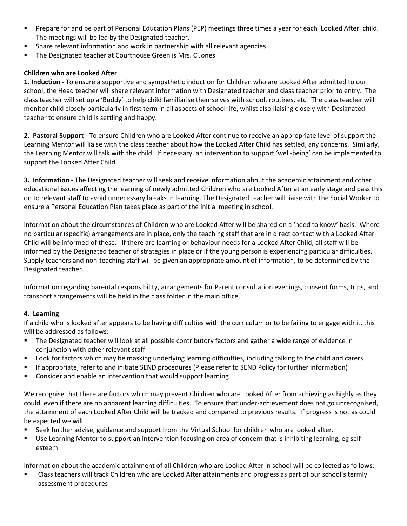- Prepare for and be part of Personal Education Plans (PEP) meetings three times a year for each 'Looked After' child. The meetings will be led by the Designated teacher.
- Share relevant information and work in partnership with all relevant agencies
- The Designated teacher at Courthouse Green is Mrs. C Jones

## **Children who are Looked After**

**1. Induction -** To ensure a supportive and sympathetic induction for Children who are Looked After admitted to our school, the Head teacher will share relevant information with Designated teacher and class teacher prior to entry. The class teacher will set up a 'Buddy' to help child familiarise themselves with school, routines, etc. The class teacher will monitor child closely particularly in first term in all aspects of school life, whilst also liaising closely with Designated teacher to ensure child is settling and happy.

**2. Pastoral Support -** To ensure Children who are Looked After continue to receive an appropriate level of support the Learning Mentor will liaise with the class teacher about how the Looked After Child has settled, any concerns. Similarly, the Learning Mentor will talk with the child. If necessary, an intervention to support 'well-being' can be implemented to support the Looked After Child.

**3. Information -** The Designated teacher will seek and receive information about the academic attainment and other educational issues affecting the learning of newly admitted Children who are Looked After at an early stage and pass this on to relevant staff to avoid unnecessary breaks in learning. The Designated teacher will liaise with the Social Worker to ensure a Personal Education Plan takes place as part of the initial meeting in school.

Information about the circumstances of Children who are Looked After will be shared on a 'need to know' basis. Where no particular (specific) arrangements are in place, only the teaching staff that are in direct contact with a Looked After Child will be informed of these. If there are learning or behaviour needs for a Looked After Child, all staff will be informed by the Designated teacher of strategies in place or if the young person is experiencing particular difficulties. Supply teachers and non-teaching staff will be given an appropriate amount of information, to be determined by the Designated teacher.

Information regarding parental responsibility, arrangements for Parent consultation evenings, consent forms, trips, and transport arrangements will be held in the class folder in the main office.

## **4. Learning**

If a child who is looked after appears to be having difficulties with the curriculum or to be failing to engage with it, this will be addressed as follows:

- The Designated teacher will look at all possible contributory factors and gather a wide range of evidence in conjunction with other relevant staff
- Look for factors which may be masking underlying learning difficulties, including talking to the child and carers
- If appropriate, refer to and initiate SEND procedures (Please refer to SEND Policy for further information)
- Consider and enable an intervention that would support learning

We recognise that there are factors which may prevent Children who are Looked After from achieving as highly as they could, even if there are no apparent learning difficulties. To ensure that under-achievement does not go unrecognised, the attainment of each Looked After Child will be tracked and compared to previous results. If progress is not as could be expected we will:

- Seek further advise, guidance and support from the Virtual School for children who are looked after.
- Use Learning Mentor to support an intervention focusing on area of concern that is inhibiting learning, eg selfesteem

Information about the academic attainment of all Children who are Looked After in school will be collected as follows:

Class teachers will track Children who are Looked After attainments and progress as part of our school's termly assessment procedures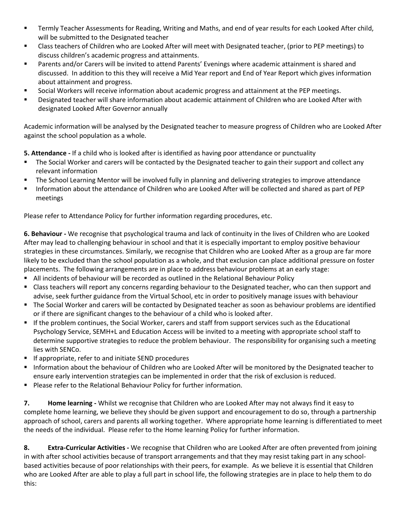- **■** Termly Teacher Assessments for Reading, Writing and Maths, and end of year results for each Looked After child, will be submitted to the Designated teacher
- Class teachers of Children who are Looked After will meet with Designated teacher, (prior to PEP meetings) to discuss children's academic progress and attainments.
- Parents and/or Carers will be invited to attend Parents' Evenings where academic attainment is shared and discussed. In addition to this they will receive a Mid Year report and End of Year Report which gives information about attainment and progress.
- Social Workers will receive information about academic progress and attainment at the PEP meetings.
- Designated teacher will share information about academic attainment of Children who are Looked After with designated Looked After Governor annually

Academic information will be analysed by the Designated teacher to measure progress of Children who are Looked After against the school population as a whole*.* 

**5. Attendance -** If a child who is looked after is identified as having poor attendance or punctuality

- The Social Worker and carers will be contacted by the Designated teacher to gain their support and collect any relevant information
- The School Learning Mentor will be involved fully in planning and delivering strategies to improve attendance
- Information about the attendance of Children who are Looked After will be collected and shared as part of PEP meetings

Please refer to Attendance Policy for further information regarding procedures, etc.

**6. Behaviour -** We recognise that psychological trauma and lack of continuity in the lives of Children who are Looked After may lead to challenging behaviour in school and that it is especially important to employ positive behaviour strategies in these circumstances. Similarly, we recognise that Children who are Looked After as a group are far more likely to be excluded than the school population as a whole, and that exclusion can place additional pressure on foster placements. The following arrangements are in place to address behaviour problems at an early stage:

- All incidents of behaviour will be recorded as outlined in the Relational Behaviour Policy
- Class teachers will report any concerns regarding behaviour to the Designated teacher, who can then support and advise, seek further guidance from the Virtual School, etc in order to positively manage issues with behaviour
- The Social Worker and carers will be contacted by Designated teacher as soon as behaviour problems are identified or if there are significant changes to the behaviour of a child who is looked after.
- If the problem continues, the Social Worker, carers and staff from support services such as the Educational Psychology Service, SEMH+L and Education Access will be invited to a meeting with appropriate school staff to determine supportive strategies to reduce the problem behaviour. The responsibility for organising such a meeting lies with SENCo.
- If appropriate, refer to and initiate SEND procedures
- Information about the behaviour of Children who are Looked After will be monitored by the Designated teacher to ensure early intervention strategies can be implemented in order that the risk of exclusion is reduced.
- Please refer to the Relational Behaviour Policy for further information.

**7. Home learning -** Whilst we recognise that Children who are Looked After may not always find it easy to complete home learning, we believe they should be given support and encouragement to do so, through a partnership approach of school, carers and parents all working together. Where appropriate home learning is differentiated to meet the needs of the individual. Please refer to the Home learning Policy for further information.

**8. Extra-Curricular Activities -** We recognise that Children who are Looked After are often prevented from joining in with after school activities because of transport arrangements and that they may resist taking part in any schoolbased activities because of poor relationships with their peers, for example. As we believe it is essential that Children who are Looked After are able to play a full part in school life, the following strategies are in place to help them to do this: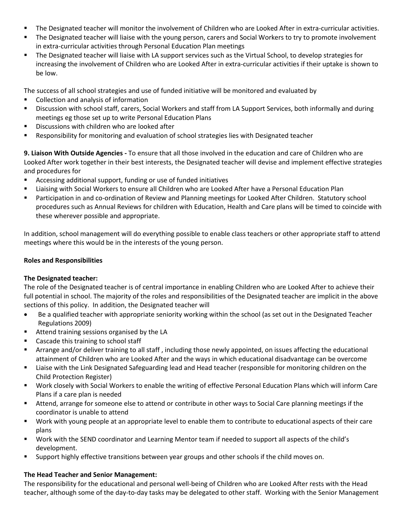- The Designated teacher will monitor the involvement of Children who are Looked After in extra-curricular activities.
- The Designated teacher will liaise with the young person, carers and Social Workers to try to promote involvement in extra-curricular activities through Personal Education Plan meetings
- The Designated teacher will liaise with LA support services such as the Virtual School, to develop strategies for increasing the involvement of Children who are Looked After in extra-curricular activities if their uptake is shown to be low.

The success of all school strategies and use of funded initiative will be monitored and evaluated by

- Collection and analysis of information
- **EXED SERVISTS:** Discussion with school staff, carers, Social Workers and staff from LA Support Services, both informally and during meetings eg those set up to write Personal Education Plans
- Discussions with children who are looked after
- Responsibility for monitoring and evaluation of school strategies lies with Designated teacher

**9. Liaison With Outside Agencies -** To ensure that all those involved in the education and care of Children who are Looked After work together in their best interests, the Designated teacher will devise and implement effective strategies and procedures for

- Accessing additional support, funding or use of funded initiatives
- Liaising with Social Workers to ensure all Children who are Looked After have a Personal Education Plan
- **■** Participation in and co-ordination of Review and Planning meetings for Looked After Children. Statutory school procedures such as Annual Reviews for children with Education, Health and Care plans will be timed to coincide with these wherever possible and appropriate.

In addition, school management will do everything possible to enable class teachers or other appropriate staff to attend meetings where this would be in the interests of the young person.

## **Roles and Responsibilities**

## **The Designated teacher:**

The role of the Designated teacher is of central importance in enabling Children who are Looked After to achieve their full potential in school. The majority of the roles and responsibilities of the Designated teacher are implicit in the above sections of this policy. In addition, the Designated teacher will

- Be a qualified teacher with appropriate seniority working within the school (as set out in the Designated Teacher Regulations 2009)
- Attend training sessions organised by the LA
- Cascade this training to school staff
- Arrange and/or deliver training to all staff , including those newly appointed, on issues affecting the educational attainment of Children who are Looked After and the ways in which educational disadvantage can be overcome
- Liaise with the Link Designated Safeguarding lead and Head teacher (responsible for monitoring children on the Child Protection Register)
- Work closely with Social Workers to enable the writing of effective Personal Education Plans which will inform Care Plans if a care plan is needed
- Attend, arrange for someone else to attend or contribute in other ways to Social Care planning meetings if the coordinator is unable to attend
- Work with young people at an appropriate level to enable them to contribute to educational aspects of their care plans
- Work with the SEND coordinator and Learning Mentor team if needed to support all aspects of the child's development.
- **■** Support highly effective transitions between year groups and other schools if the child moves on.

## **The Head Teacher and Senior Management:**

The responsibility for the educational and personal well-being of Children who are Looked After rests with the Head teacher, although some of the day-to-day tasks may be delegated to other staff. Working with the Senior Management